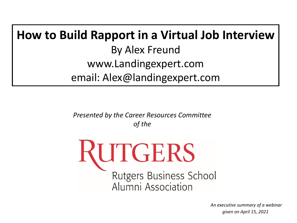# **How to Build Rapport in a Virtual Job Interview** By Alex Freund www.Landingexpert.com email: Alex@landingexpert.com

*Presented by the Career Resources Committee of the*

RUTGERS **Rutgers Business School** Alumni Association

> *An executive summary of a webinar given on April 15, 2021*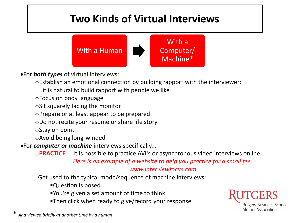## **Two Kinds of Virtual Interviews**



For *both types* of virtual interviews:

oEstablish an emotional connection by building rapport with the interviewer;

it is natural to build rapport with people we like

oFocus on body language

oSit squarely facing the monitor

oPrepare or at least appear to be prepared

oDo not recite your resume or share life story

oStay on point

oAvoid being long-winded

For *computer or machine* interviews specifically...

o**PRACTICE**... It is possible to practice AVI's or asynchronous video interviews online.

*Here is an example of a website to help you practice for a small fee:* 

#### *www.interviewfocus.com*

Get used to the typical mode/sequence of machine interviews:

- Question is posed
- You're given a set amount of time to think
- Then click when ready to give/record your response



\* *And viewed briefly at another time by a human*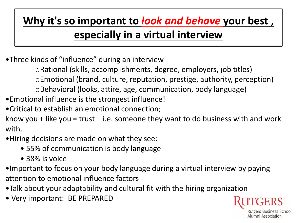## **Why it's so important to** *look and behave* **your best , especially in a virtual interview**

•Three kinds of "influence" during an interview

oRational (skills, accomplishments, degree, employers, job titles) oEmotional (brand, culture, reputation, prestige, authority, perception)

oBehavioral (looks, attire, age, communication, body language)

•Emotional influence is the strongest influence!

•Critical to establish an emotional connection;

know you + like you = trust  $-$  i.e. someone they want to do business with and work with.

•Hiring decisions are made on what they see:

- 55% of communication is body language
- 38% is voice
- •Important to focus on your body language during a virtual interview by paying attention to emotional influence factors
- •Talk about your adaptability and cultural fit with the hiring organization
- Very important: BE PREPARED

Rutgers Business School Alumni Association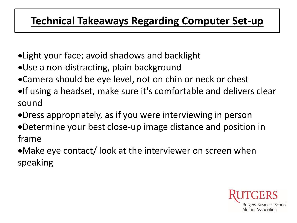### **Technical Takeaways Regarding Computer Set-up**

- Light your face; avoid shadows and backlight
- Use a non-distracting, plain background
- Camera should be eye level, not on chin or neck or chest
- **•If using a headset, make sure it's comfortable and delivers clear** sound
- Dress appropriately, as if you were interviewing in person
- Determine your best close-up image distance and position in frame
- Make eye contact/ look at the interviewer on screen when speaking